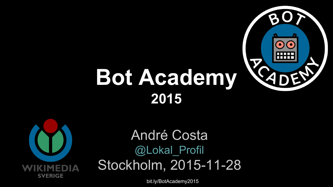

# **Bot Academy 2015**



#### André Costa @Lokal Profil Stockholm, 2015-11-28

[bit.ly/BotAcademy2015](http://bit.ly/BotAcademy2015)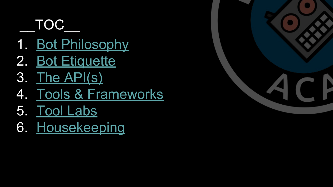#### \_\_TOC\_\_

- 1. [Bot Philosophy](#page-2-0)
- 2. [Bot Etiquette](#page-8-0)
- 3. [The API\(s\)](#page-15-0)
- 4. [Tools & Frameworks](#page-24-0)
- 5. [Tool Labs](#page-32-0)
- 6. [Housekeeping](#page-35-0)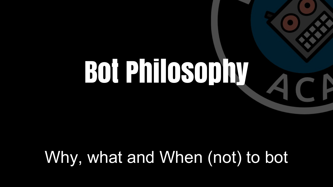# <span id="page-2-0"></span>Bot Philosophy

#### Why, what and When (not) to bot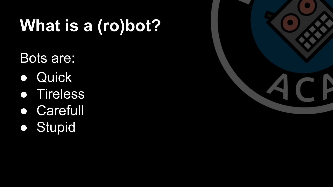# **What is a (ro)bot?**

Bots are:

- **Quick**
- Tireless
- Carefull
- Stupid

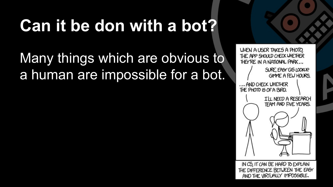# **Can it be don with a bot?**

#### Many things which are obvious to a human are impossible for a bot.



IN CS, IT CAN BE HARD TO EXPLAIN THE DIFFERENCE BETWEEN THE EASY AND THE VIRTUALLY IMPOSSIBLE.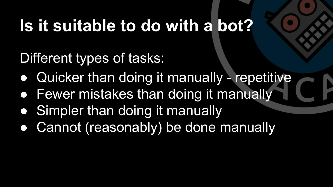### **Is it suitable to do with a bot?**

Different types of tasks:

- Quicker than doing it manually repetitive
- Fewer mistakes than doing it manually
- Simpler than doing it manually
- Cannot (reasonably) be done manually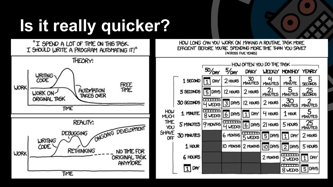# **Is it really quicker?**

"I SPEND A LOT OF TIME ON THIS TASK. I SHOULD WRITE A PROGRAM AUTOMATING IT!"



HOW LONG CAN YOU WORK ON MAKING A ROUTINE TASK MORE EFFICIENT BEFORE YOU'RE SPENDING MORE TIME THAN YOU SAVE? (ACROSS FIVE YEARS)

|                                                   |                  |            |                   |                 | HOW OFTEN YOU DO THE TASK |                       |                      |
|---------------------------------------------------|------------------|------------|-------------------|-----------------|---------------------------|-----------------------|----------------------|
|                                                   |                  | $50/10$ AY | $5/_{\text{DAY}}$ | Daily           |                           | MEEKLY MONTHLY YEARLY |                      |
| HOW<br><b>MUCH</b><br>TIME<br>YOU<br>ЭНAVE<br>OFF | 1 SECOND         | DAY        | 2 HOURS           | 30<br>MINUTES   | <b>MINUTES</b>            | MINUTE                | <b>SECONDS</b>       |
|                                                   | 5 SECONDS        | 5 DAYS     | <b>2 HOURS</b>    | 2 HOURS         | <b>MINUTES</b>            | <b>MINUTES</b>        | 25                   |
|                                                   | 30 SECONDS       | 4 WEEKS    | $3$ DAYS          | <b>IZ HOURS</b> | 2 HOURS                   | 30<br><b>MINUTES</b>  | <b>MINUTES</b>       |
|                                                   | 1 MINUTE         | 8 WEEKS    | 6 DAYS            | DAY             | 4 HOURS                   | $1$ HOUR              | <b>MINUTES</b>       |
|                                                   | <b>5 MINUTES</b> | 9 MONTHS   | 4 WEEKS           | $6$ DAYS        | 21 HOURS                  | 5 HOURS               | 25<br><b>MINUTES</b> |
|                                                   | 30 MINUTES       |            | <b>6 MONTHS</b>   | 5 WEEKS         | 5 DAYS                    | DAY<br>1              | 2 HOURS              |
|                                                   | 1 HOUR           |            | O MONTHS          | 2 MONTHS        | IO DAYS                   | 2 DAYS                | 5 HOURS              |
|                                                   | <b>6 HOURS</b>   |            |                   |                 | 2 MONTHS                  | .<br>2 WEEKS          | DAY<br>1             |
|                                                   | $11$ DAY         |            |                   |                 |                           | سىد<br>8 WEEKS        | 5 DAYS               |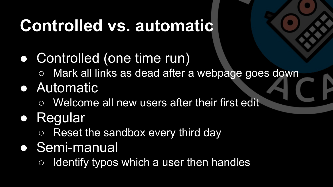### **Controlled vs. automatic**

- Controlled (one time run)
	- Mark all links as dead after a webpage goes down

#### ● Automatic

○ Welcome all new users after their first edit

#### ● Regular

○ Reset the sandbox every third day

#### ● Semi-manual

 $\circ$  Identify typos which a user then handles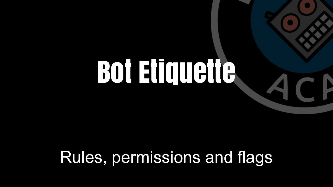# <span id="page-8-0"></span>Bot Etiquette

a

#### Rules, permissions and flags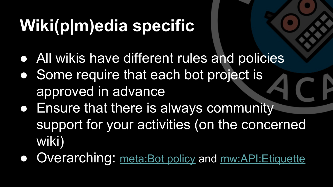# **Wiki(p|m)edia specific**

- All wikis have different rules and policies
- Some require that each bot project is approved in advance
- **Ensure that there is always community** support for your activities (on the concerned wiki)
- Overarching: [meta:Bot policy](https://meta.wikimedia.org/wiki/Bot_policy) and [mw:API:Etiquette](https://www.mediawiki.org/wiki/API:Etiquette)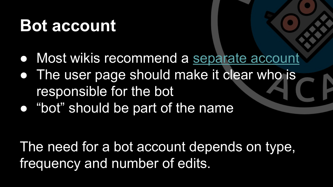#### **Bot account**

- Most wikis recommend a [separate account](https://en.wikipedia.org/w/index.php?title=Special:UserLogin&type=signup)
- The user page should make it clear who is responsible for the bot
- "bot" should be part of the name

The need for a bot account depends on type, frequency and number of edits.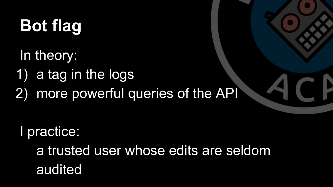# **Bot flag**

In theory:

- 1) a tag in the logs
- 2) more powerful queries of the API

I practice:

a trusted user whose edits are seldom audited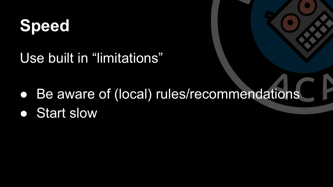#### **Speed**

Use built in "limitations"

- Be aware of (local) rules/recommendations
- **•** Start slow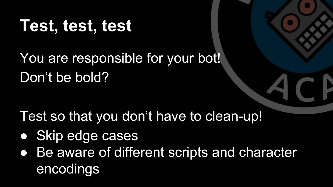#### **Test, test, test**

You are responsible for your bot! Don't be bold?

Test so that you don't have to clean-up!

- Skip edge cases
- Be aware of different scripts and character encodings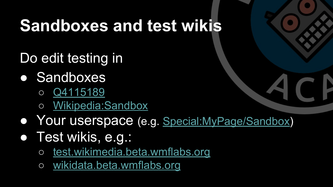#### **Sandboxes and test wikis**

Do edit testing in

- Sandboxes
	- [Q4115189](https://www.wikidata.org/wiki/Q4115189)
	- [Wikipedia:Sandbox](https://en.wikipedia.org/wiki/Wikipedia:Sandbox)
- Your userspace (e.g. [Special:MyPage/Sandbox\)](https://en.wikipedia.org/wiki/Special:MyPage/Sandbox)
- Test wikis, e.g.:
	- [test.wikimedia.beta.wmflabs.org](http://test.wikimedia.beta.wmflabs.org/)
	- [wikidata.beta.wmflabs.org](http://wikidata.beta.wmflabs.org/)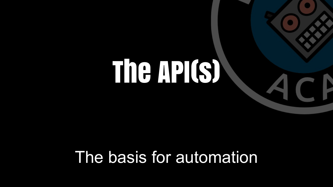# <span id="page-15-0"></span>The API(s)

O

#### The basis for automation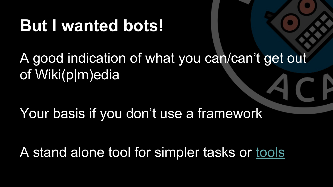#### **But I wanted bots!**

#### A good indication of what you can/can't get out of Wiki(p|m)edia

Your basis if you don't use a framework

A stand alone tool for simpler tasks or [tools](https://tools.wmflabs.org/lp-tools/credit-my-cc/)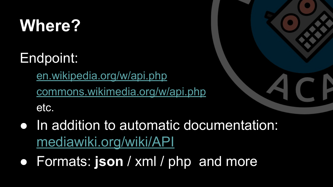### **Where?**

Endpoint:

[en.wikipedia.org/w/api.php](http://en.wikipedia.org/w/api.php) [commons.wikimedia.org/w/api.php](http://commons.wikimedia.org/w/api.php) etc.



- In addition to automatic documentation: [mediawiki.org/wiki/API](https://www.mediawiki.org/wiki/API)
- Formats: **json** / xml / php and more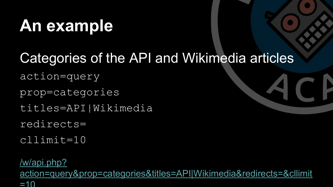#### **An example**

#### Categories of the API and Wikimedia articles

action=query

prop=categories

titles=API|Wikimedia

redirects=

cllimit=10

[/w/api.php?](https://sv.wikipedia.org/w/api.php?action=query&prop=categories&titles=API%7CWikimedia%20Foundation&redirects=&cllimit=10&format=jsonfm) [action=query&prop=categories&titles=API|Wikimedia&redirects=&cllimit](https://sv.wikipedia.org/w/api.php?action=query&prop=categories&titles=API%7CWikimedia%20Foundation&redirects=&cllimit=10&format=jsonfm)  $=10$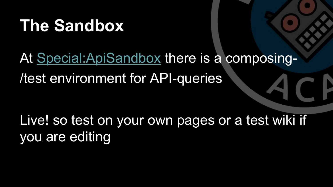#### **The Sandbox**

#### At [Special:ApiSandbox](https://en.wikipedia.org/wiki/Special:ApiSandbox) there is a composing- /test environment for API-queries

Live! so test on your own pages or a test wiki if you are editing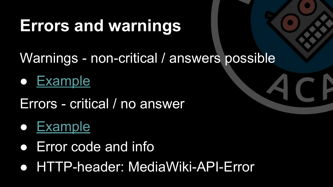#### **Errors and warnings**

Warnings - non-critical / answers possible

● [Example](https://sv.wikipedia.org/w/api.php?action=query&prop=info&format=jsonfm&intoken=edit&titles=API)

Errors - critical / no answer

#### ● [Example](https://sv.wikipedia.org/w/api.php?action=query&prop=info&format=jsonfm&continue=nej)

- Error code and info
- HTTP-header: MediaWiki-API-Error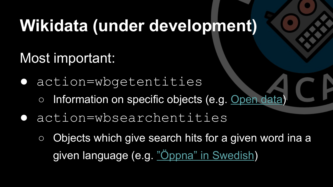#### **Wikidata (under development)**

Most important:

- action=wbgetentities
	- Information on specific objects (e.g. [Open data](https://www.wikidata.org/w/api.php?action=wbgetentities&ids=Q309901))
- action=wbsearchentities
	- Objects which give search hits for a given word ina a given language (e.g[. "Öppna" in Swedish\)](https://www.wikidata.org/w/api.php?action=wbsearchentities&search=%C3%96ppna&language=sv)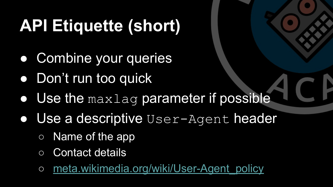# **API Etiquette (short)**

- Combine your queries
- Don't run too quick
- Use the maxlag parameter if possible
- Use a descriptive User-Agent header
	- Name of the app
	- Contact details
	- o meta.wikimedia.org/wiki/User-Agent policy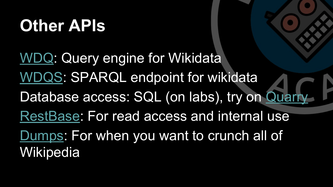#### **Other APIs**

[WDQ](http://wdq.wmflabs.org/): Query engine for Wikidata [WDQS](https://query.wikidata.org/): SPARQL endpoint for wikidata Database access: SQL (on labs), try on [Quarry](https://quarry.wmflabs.org/) [RestBase:](https://en.wikipedia.org/api/rest_v1/?doc) For read access and internal use [Dumps:](https://dumps.wikimedia.org/) For when you want to crunch all of Wikipedia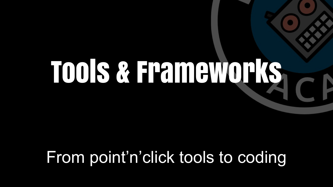# <span id="page-24-0"></span>Tools & Frameworks

#### From point'n'click tools to coding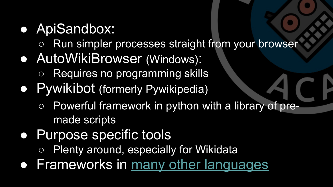#### ● ApiSandbox:

- Run simpler processes straight from your browser
- AutoWikiBrowser (Windows):
	- Requires no programming skills
- Pywikibot (formerly Pywikipedia)
	- Powerful framework in python with a library of premade scripts
- Purpose specific tools
	- Plenty around, especially for Wikidata
- Frameworks in [many other languages](https://en.wikipedia.org/wiki/Wikipedia:Creating_a_bot#Programming_languages_and_libraries)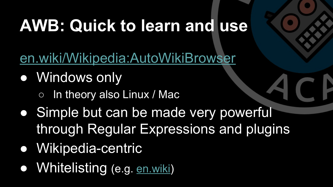## **AWB: Quick to learn and use**

[en.wiki/Wikipedia:AutoWikiBrowser](https://en.wikipedia.org/wiki/Wikipedia:AutoWikiBrowser)

- Windows only
	- In theory also Linux / Mac
- Simple but can be made very powerful through Regular Expressions and plugins
- Wikipedia-centric
- Whitelisting (e.g. [en.wiki\)](https://en.wikipedia.org/wiki/Wikipedia_talk:AutoWikiBrowser/CheckPage)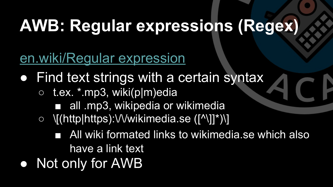## **AWB: Regular expressions (Regex)**

[en.wiki/Regular expression](https://en.wikipedia.org/wiki/Regular_expression)

- Find text strings with a certain syntax
	- t.ex. \*.mp3, wiki(p|m)edia
		- all .mp3, wikipedia or wikimedia
	- \[(http|https):\/\/wikimedia.se ([^\]]\*)\]
		- All wiki formated links to wikimedia.se which also have a link text
- Not only for AWB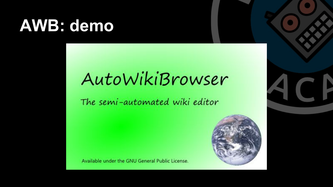#### **AWB: demo**

### AutoWikiBrowser

The semi-automated wiki editor



Available under the GNU General Public License.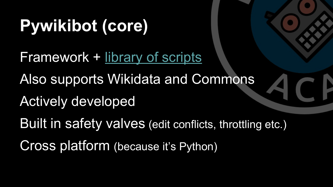# **Pywikibot (core)**

Framework + [library of scripts](https://www.mediawiki.org/wiki/Manual:Pywikibot/Scripts)

Also supports Wikidata and Commons

Actively developed

Built in safety valves (edit conflicts, throttling etc.)

Cross platform (because it's Python)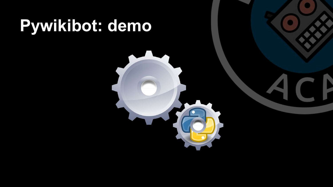# **Pywikibot: demo**

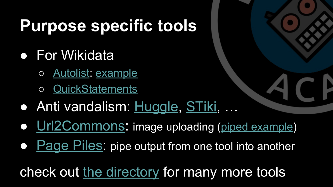#### **Purpose specific tools**

- For Wikidata
	- [Autolist](https://tools.wmflabs.org/autolist/index.php): [example](https://tools.wmflabs.org/autolist/index.php?language=en&project=wikipedia&category=1845%20births&depth=12&wdq=&pagepile=&statementlist=&run=Run&mode_manual=or&mode_cat=or&mode_wdq=not&mode_find=or&chunk_size=10000)
	- [QuickStatements](https://tools.wmflabs.org/wikidata-todo/quick_statements.php)
- Anti vandalism: [Huggle,](https://en.wikipedia.org/wiki/Wikipedia:Huggle) [STiki,](https://en.wikipedia.org/wiki/Wikipedia:STiki) …
- [Url2Commons](https://tools.wmflabs.org/url2commons/index.html): image uploading ([piped example](https://tools.wmflabs.org/mapillary-commons/mapillary2commons/?mapillary=cwXAUf8SZ8lFhZYizNl3Rg))
- [Page Piles](https://tools.wmflabs.org/pagepile/): pipe output from one tool into another

check out [the directory](https://tools.wmflabs.org/hay/directory/) for many more tools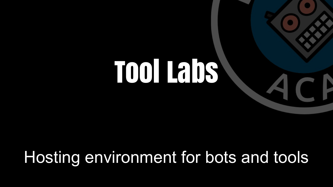# <span id="page-32-0"></span>Tool Labs

 $\blacksquare$ 

#### Hosting environment for bots and tools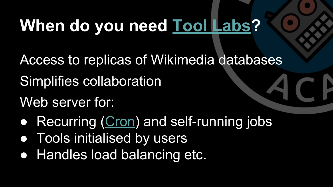# **When do you need [Tool Labs?](https://wikitech.wikimedia.org/wiki/Help:Tool_Labs)**

- Access to replicas of Wikimedia databases
- Simplifies collaboration
- Web server for:
- Recurring [\(Cron](https://wikitech.wikimedia.org/wiki/Help:Cron)) and self-running jobs
- Tools initialised by users
- Handles load balancing etc.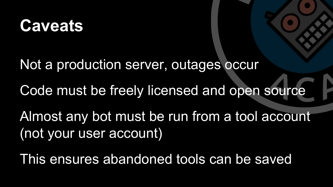#### **Caveats**

Not a production server, outages occur

Code must be freely licensed and open source

Almost any bot must be run from a tool account (not your user account)

This ensures abandoned tools can be saved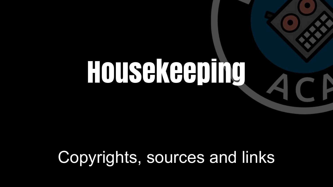# <span id="page-35-0"></span>Housekeeping

#### Copyrights, sources and links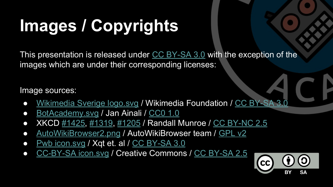# **Images / Copyrights**

This presentation is released under [CC BY-SA 3.0](https://creativecommons.org/licenses/by-sa/3.0/) with the exception of the images which are under their corresponding licenses:

Image sources:

- [Wikimedia Sverige logo.svg](https://commons.wikimedia.org/wiki/File:Wikimedia_Sverige_logo.svg) / Wikimedia Foundation / [CC BY-SA 3.0](https://creativecommons.org/licenses/by-sa/3.0/)
- [BotAcademy.svg](https://commons.wikimedia.org/wiki/File:BotAcademy.svg) / Jan Ainali / [CC0 1.0](https://creativecommons.org/publicdomain/zero/1.0/)
- XKCD [#1425,](http://imgs.xkcd.com/comics/tasks.png) [#1319,](http://imgs.xkcd.com/comics/automation.png) [#1205](http://imgs.xkcd.com/comics/is_it_worth_the_time.png) / Randall Munroe / [CC BY-NC 2.5](http://creativecommons.org/licenses/by-nc/2.5/)
- [AutoWikiBrowser2.png](https://commons.wikimedia.org/wiki/File:AutoWikiBrowser2.png) / AutoWikiBrowser team / [GPL v2](https://en.wikipedia.org/wiki/GNU_General_Public_License)
- [Pwb icon.svg](https://commons.wikimedia.org/wiki/File:Pwb_icon.svg) / Xqt et. al / [CC BY-SA 3.0](https://creativecommons.org/licenses/by-sa/3.0/)
- [CC-BY-SA icon.svg](https://commons.wikimedia.org/wiki/File:CC-BY-SA_icon.svg) / Creative Commons / [CC BY-SA 2.5](https://creativecommons.org/licenses/by-sa/2.5/)